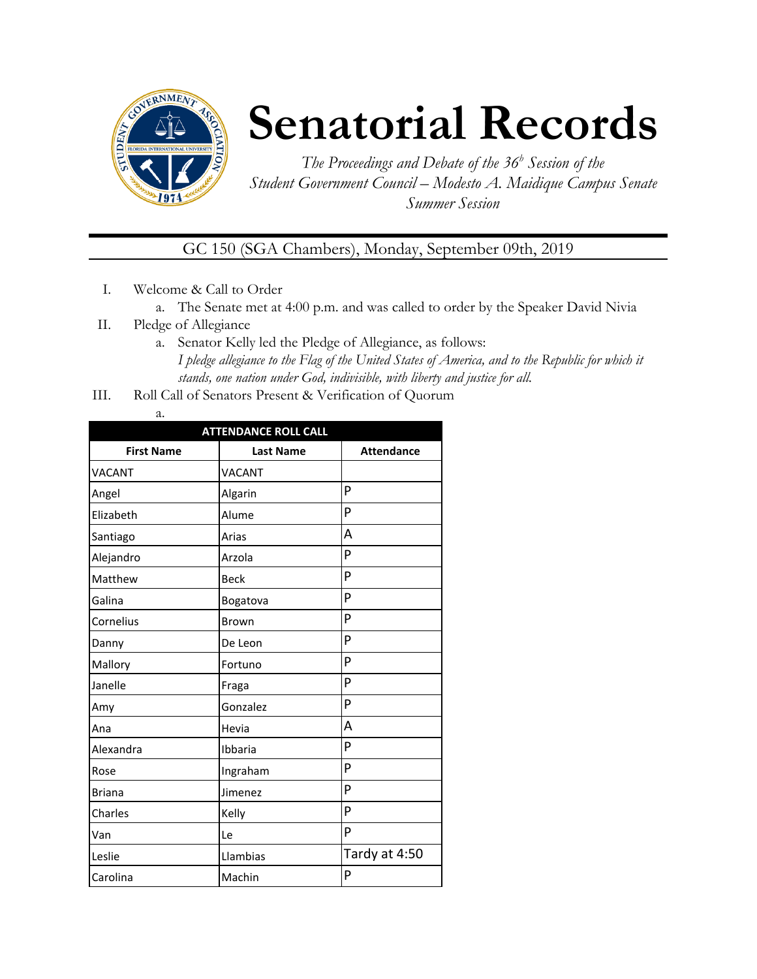

## **Senatorial Records**

*The Proceedings and Debate of the 36 <sup>h</sup> Session of the Student Government Council – Modesto A. Maidique Campus Senate Summer Session*

GC 150 (SGA Chambers), Monday, September 09th, 2019

- I. Welcome & Call to Order
	- a. The Senate met at 4:00 p.m. and was called to order by the Speaker David Nivia
- II. Pledge of Allegiance
	- a. Senator Kelly led the Pledge of Allegiance, as follows: *I pledge allegiance to the Flag of the United States of America, and to the Republic for which it stands, one nation under God, indivisible, with liberty and justice for all.*
- III. Roll Call of Senators Present & Verification of Quorum
	- a.

| <b>ATTENDANCE ROLL CALL</b> |                  |                   |  |  |
|-----------------------------|------------------|-------------------|--|--|
| <b>First Name</b>           | <b>Last Name</b> | <b>Attendance</b> |  |  |
| <b>VACANT</b>               | <b>VACANT</b>    |                   |  |  |
| Angel                       | Algarin          | P                 |  |  |
| Elizabeth                   | Alume            | P                 |  |  |
| Santiago                    | Arias            | А                 |  |  |
| Alejandro                   | Arzola           | P                 |  |  |
| Matthew                     | <b>Beck</b>      | P                 |  |  |
| Galina                      | Bogatova         | P                 |  |  |
| Cornelius                   | <b>Brown</b>     | P                 |  |  |
| Danny                       | De Leon          | P                 |  |  |
| Mallory                     | Fortuno          | P                 |  |  |
| Janelle                     | Fraga            | P                 |  |  |
| Amy                         | Gonzalez         | P                 |  |  |
| Ana                         | Hevia            | А                 |  |  |
| Alexandra                   | Ibbaria          | P                 |  |  |
| Rose                        | Ingraham         | P                 |  |  |
| <b>Briana</b>               | Jimenez          | P                 |  |  |
| Charles                     | Kelly            | P                 |  |  |
| Van                         | Le               | P                 |  |  |
| Leslie                      | Llambias         | Tardy at 4:50     |  |  |
| Carolina                    | Machin           | P                 |  |  |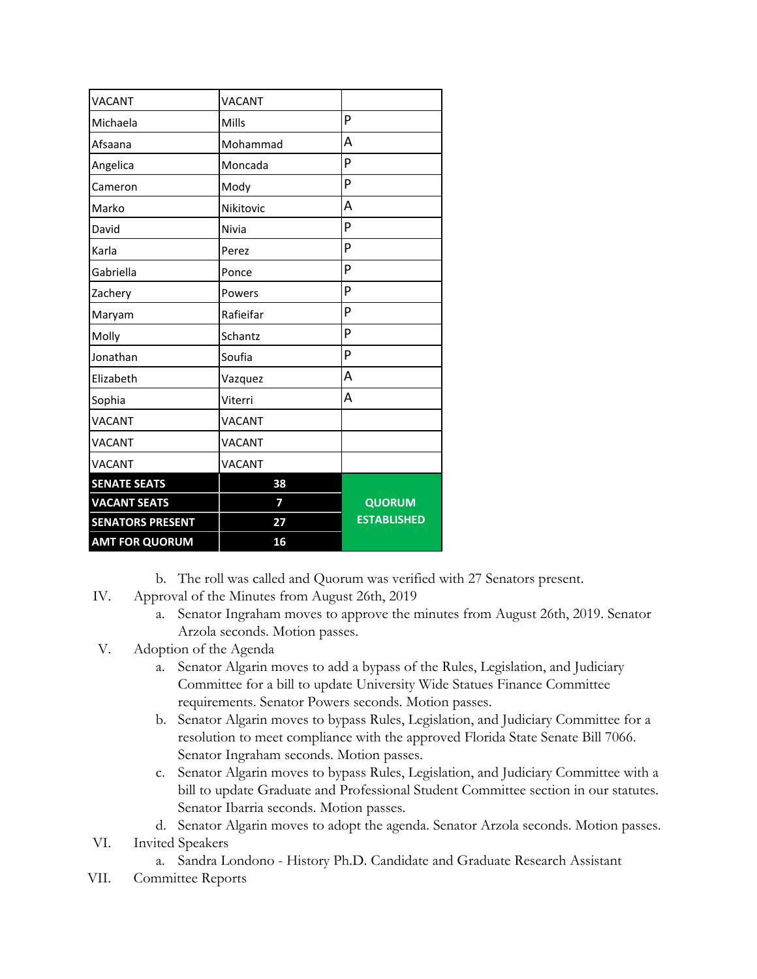| <b>VACANT</b>           | VACANT        |                    |
|-------------------------|---------------|--------------------|
| Michaela                | Mills         | P                  |
| Afsaana                 | Mohammad      | A                  |
| Angelica                | Moncada       | P                  |
| Cameron                 | Mody          | P                  |
| Marko                   | Nikitovic     | A                  |
| David                   | Nivia         | P                  |
| Karla                   | Perez         | P                  |
| Gabriella               | Ponce         | P                  |
| Zachery                 | Powers        | P                  |
| Maryam                  | Rafieifar     | P                  |
| Molly                   | Schantz       | P                  |
| Jonathan                | Soufia        | P                  |
| Elizabeth               | Vazquez       | A                  |
| Sophia                  | Viterri       | A                  |
| <b>VACANT</b>           | <b>VACANT</b> |                    |
| VACANT                  | <b>VACANT</b> |                    |
| VACANT                  | VACANT        |                    |
| <b>SENATE SEATS</b>     | 38            |                    |
| <b>VACANT SEATS</b>     | 7             | <b>QUORUM</b>      |
| <b>SENATORS PRESENT</b> | 27            | <b>ESTABLISHED</b> |
| <b>AMT FOR QUORUM</b>   | 16            |                    |

b. The roll was called and Quorum was verified with 27 Senators present.

- IV. Approval of the Minutes from August 26th, 2019
	- a. Senator Ingraham moves to approve the minutes from August 26th, 2019. Senator Arzola seconds. Motion passes.
- V. Adoption of the Agenda
	- a. Senator Algarin moves to add a bypass of the Rules, Legislation, and Judiciary Committee for a bill to update University Wide Statues Finance Committee requirements. Senator Powers seconds. Motion passes.
	- b. Senator Algarin moves to bypass Rules, Legislation, and Judiciary Committee for a resolution to meet compliance with the approved Florida State Senate Bill 7066. Senator Ingraham seconds. Motion passes.
	- c. Senator Algarin moves to bypass Rules, Legislation, and Judiciary Committee with a bill to update Graduate and Professional Student Committee section in our statutes. Senator Ibarria seconds. Motion passes.

d. Senator Algarin moves to adopt the agenda. Senator Arzola seconds. Motion passes.

- VI. Invited Speakers
	- a. Sandra Londono History Ph.D. Candidate and Graduate Research Assistant
- VII. Committee Reports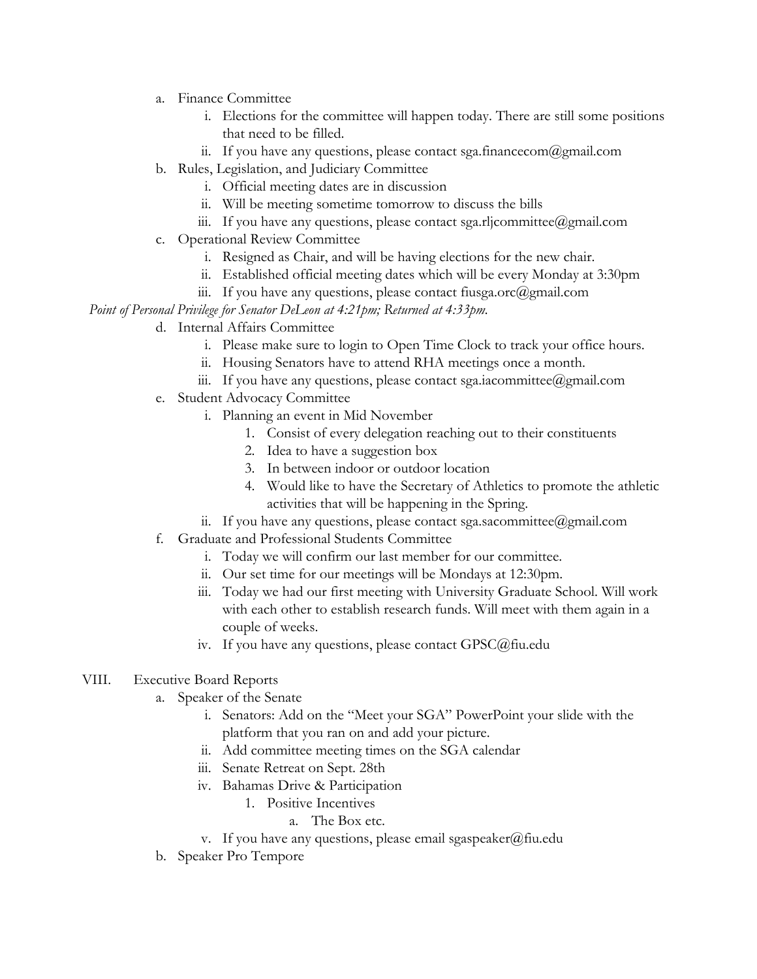- a. Finance Committee
	- i. Elections for the committee will happen today. There are still some positions that need to be filled.
	- ii. If you have any questions, please contact sga.financecom@gmail.com
- b. Rules, Legislation, and Judiciary Committee
	- i. Official meeting dates are in discussion
	- ii. Will be meeting sometime tomorrow to discuss the bills
	- iii. If you have any questions, please contact sga.rljcommittee@gmail.com
- c. Operational Review Committee
	- i. Resigned as Chair, and will be having elections for the new chair.
	- ii. Established official meeting dates which will be every Monday at 3:30pm
	- iii. If you have any questions, please contact fiusga.orc $(\partial \text{gmail.com})$

*Point of Personal Privilege for Senator DeLeon at 4:21pm; Returned at 4:33pm.*

- d. Internal Affairs Committee
	- i. Please make sure to login to Open Time Clock to track your office hours.
	- ii. Housing Senators have to attend RHA meetings once a month.
	- iii. If you have any questions, please contact sga.iacommittee@gmail.com
- e. Student Advocacy Committee
	- i. Planning an event in Mid November
		- 1. Consist of every delegation reaching out to their constituents
		- 2. Idea to have a suggestion box
		- 3. In between indoor or outdoor location
		- 4. Would like to have the Secretary of Athletics to promote the athletic activities that will be happening in the Spring.
	- ii. If you have any questions, please contact sga.sacommittee@gmail.com
- f. Graduate and Professional Students Committee
	- i. Today we will confirm our last member for our committee.
	- ii. Our set time for our meetings will be Mondays at 12:30pm.
	- iii. Today we had our first meeting with University Graduate School. Will work with each other to establish research funds. Will meet with them again in a couple of weeks.
	- iv. If you have any questions, please contact GPSC@fiu.edu

## VIII. Executive Board Reports

- a. Speaker of the Senate
	- i. Senators: Add on the "Meet your SGA" PowerPoint your slide with the platform that you ran on and add your picture.
	- ii. Add committee meeting times on the SGA calendar
	- iii. Senate Retreat on Sept. 28th
	- iv. Bahamas Drive & Participation
		- 1. Positive Incentives
			- a. The Box etc.
	- v. If you have any questions, please email sgaspeaker@fiu.edu
- b. Speaker Pro Tempore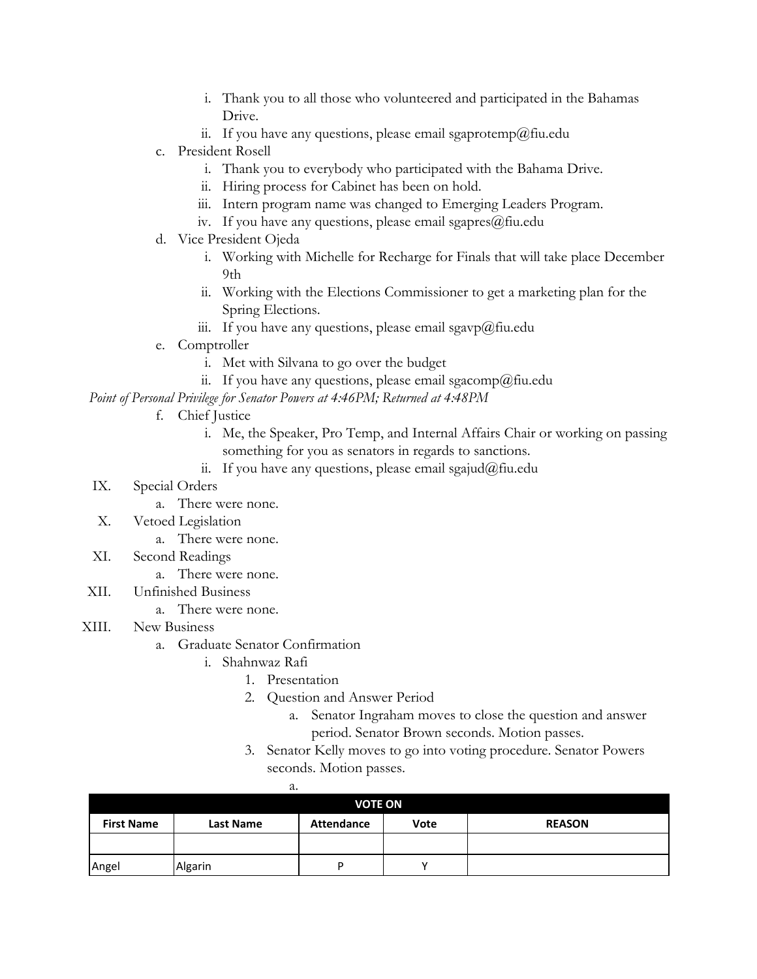- i. Thank you to all those who volunteered and participated in the Bahamas Drive.
- ii. If you have any questions, please email sgaprotemp@fiu.edu
- c. President Rosell
	- i. Thank you to everybody who participated with the Bahama Drive.
	- ii. Hiring process for Cabinet has been on hold.
	- iii. Intern program name was changed to Emerging Leaders Program.
	- iv. If you have any questions, please email sgapres $@$ fiu.edu
- d. Vice President Ojeda
	- i. Working with Michelle for Recharge for Finals that will take place December  $9<sub>th</sub>$
	- ii. Working with the Elections Commissioner to get a marketing plan for the Spring Elections.
	- iii. If you have any questions, please email sgavp@fiu.edu
- e. Comptroller
	- i. Met with Silvana to go over the budget
	- ii. If you have any questions, please email sgacomp@fiu.edu

*Point of Personal Privilege for Senator Powers at 4:46PM; Returned at 4:48PM*

- f. Chief Justice
	- i. Me, the Speaker, Pro Temp, and Internal Affairs Chair or working on passing something for you as senators in regards to sanctions.
	- ii. If you have any questions, please email sgajud@fiu.edu
- IX. Special Orders
	- a. There were none.
- X. Vetoed Legislation
	- a. There were none.
- XI. Second Readings
	- a. There were none.
- XII. Unfinished Business
	- a. There were none.
- XIII. New Business
	- a. Graduate Senator Confirmation
		- i. Shahnwaz Rafi
			- 1. Presentation
			- 2. Question and Answer Period
				- a. Senator Ingraham moves to close the question and answer period. Senator Brown seconds. Motion passes.
			- 3. Senator Kelly moves to go into voting procedure. Senator Powers seconds. Motion passes.

|                   | a.               |                   |      |               |
|-------------------|------------------|-------------------|------|---------------|
| <b>VOTE ON</b>    |                  |                   |      |               |
| <b>First Name</b> | <b>Last Name</b> | <b>Attendance</b> | Vote | <b>REASON</b> |
|                   |                  |                   |      |               |
| Angel             | Algarin          | ח                 |      |               |

a.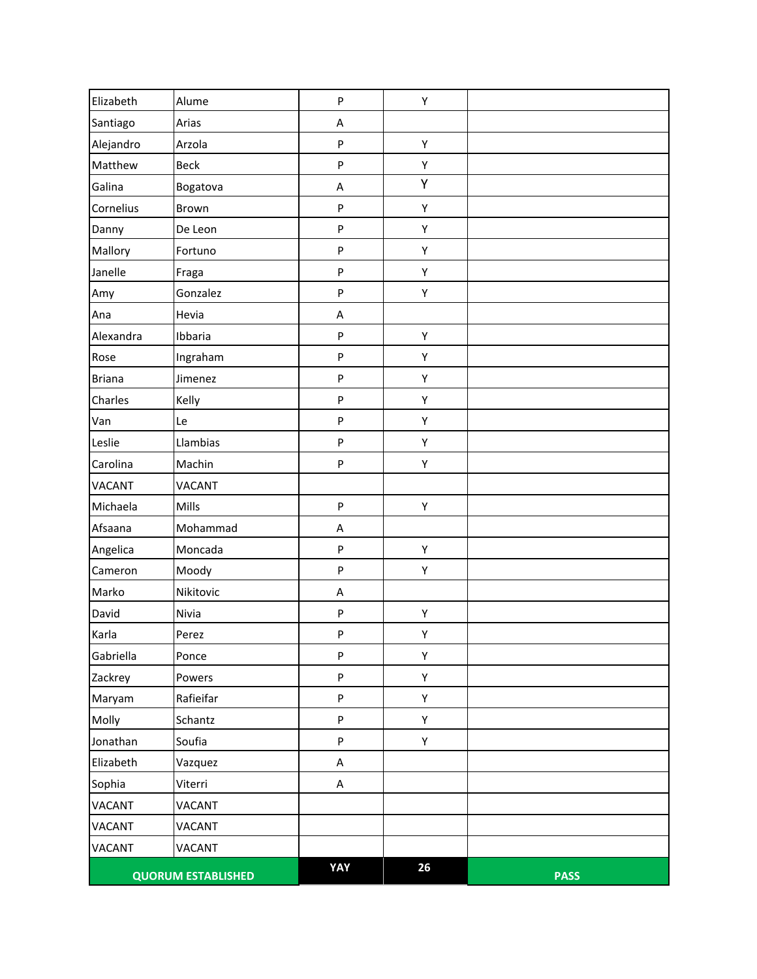| Elizabeth     | Alume                     | P   | Υ  |             |
|---------------|---------------------------|-----|----|-------------|
| Santiago      | Arias                     | A   |    |             |
| Alejandro     | Arzola                    | P   | Υ  |             |
| Matthew       | <b>Beck</b>               | P   | Υ  |             |
| Galina        | Bogatova                  | A   | Υ  |             |
| Cornelius     | Brown                     | P   | Υ  |             |
| Danny         | De Leon                   | P   | Υ  |             |
| Mallory       | Fortuno                   | P   | Υ  |             |
| Janelle       | Fraga                     | P   | Υ  |             |
| Amy           | Gonzalez                  | P   | Υ  |             |
| Ana           | Hevia                     | A   |    |             |
| Alexandra     | Ibbaria                   | P   | Υ  |             |
| Rose          | Ingraham                  | P   | Υ  |             |
| <b>Briana</b> | Jimenez                   | P   | Υ  |             |
| Charles       | Kelly                     | P   | Υ  |             |
| Van           | Le                        | P   | Υ  |             |
| Leslie        | Llambias                  | P   | Υ  |             |
| Carolina      | Machin                    | P   | Υ  |             |
| VACANT        | <b>VACANT</b>             |     |    |             |
| Michaela      | Mills                     | P   | Υ  |             |
| Afsaana       | Mohammad                  | A   |    |             |
| Angelica      | Moncada                   | P   | Υ  |             |
| Cameron       | Moody                     | P   | Υ  |             |
| Marko         | Nikitovic                 | A   |    |             |
| David         | Nivia                     | P   | Υ  |             |
| Karla         | Perez                     | P   | Υ  |             |
| Gabriella     | Ponce                     | P   | Υ  |             |
| Zackrey       | Powers                    | P   | Υ  |             |
| Maryam        | Rafieifar                 | P   | Υ  |             |
| Molly         | Schantz                   | P   | Υ  |             |
| Jonathan      | Soufia                    | P   | Υ  |             |
| Elizabeth     | Vazquez                   | A   |    |             |
| Sophia        | Viterri                   | A   |    |             |
| <b>VACANT</b> | VACANT                    |     |    |             |
| VACANT        | VACANT                    |     |    |             |
| <b>VACANT</b> | <b>VACANT</b>             |     |    |             |
|               | <b>QUORUM ESTABLISHED</b> | YAY | 26 | <b>PASS</b> |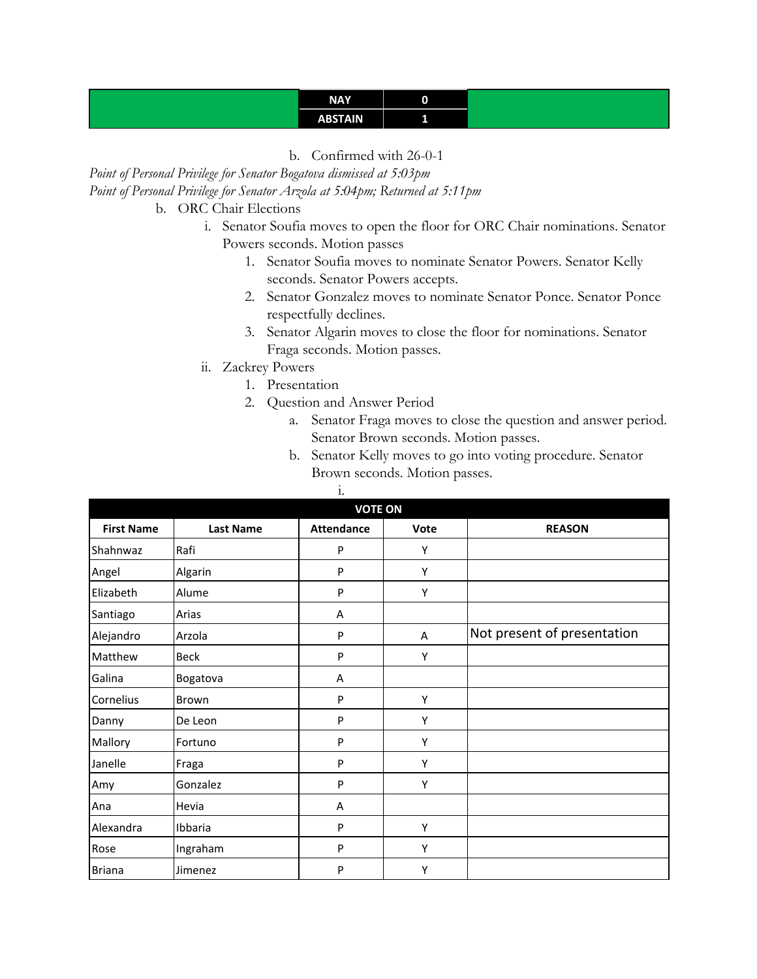## **NAY 0 ABSTAIN 1**

b. Confirmed with 26-0-1

*Point of Personal Privilege for Senator Bogatova dismissed at 5:03pm Point of Personal Privilege for Senator Arzola at 5:04pm; Returned at 5:11pm*

- b. ORC Chair Elections
	- i. Senator Soufia moves to open the floor for ORC Chair nominations. Senator Powers seconds. Motion passes
		- 1. Senator Soufia moves to nominate Senator Powers. Senator Kelly seconds. Senator Powers accepts.
		- 2. Senator Gonzalez moves to nominate Senator Ponce. Senator Ponce respectfully declines.
		- 3. Senator Algarin moves to close the floor for nominations. Senator Fraga seconds. Motion passes.
	- ii. Zackrey Powers
		- 1. Presentation
		- 2. Question and Answer Period

i.

- a. Senator Fraga moves to close the question and answer period. Senator Brown seconds. Motion passes.
- b. Senator Kelly moves to go into voting procedure. Senator Brown seconds. Motion passes.

| <b>VOTE ON</b>    |                  |                   |      |                             |
|-------------------|------------------|-------------------|------|-----------------------------|
| <b>First Name</b> | <b>Last Name</b> | <b>Attendance</b> | Vote | <b>REASON</b>               |
| Shahnwaz          | Rafi             | P                 | Υ    |                             |
| Angel             | Algarin          | P                 | Y    |                             |
| Elizabeth         | Alume            | P                 | Υ    |                             |
| Santiago          | Arias            | Α                 |      |                             |
| Alejandro         | Arzola           | P                 | Α    | Not present of presentation |
| Matthew           | <b>Beck</b>      | P                 | Υ    |                             |
| Galina            | Bogatova         | A                 |      |                             |
| Cornelius         | Brown            | P                 | Y    |                             |
| Danny             | De Leon          | P                 | Y    |                             |
| Mallory           | Fortuno          | P                 | Υ    |                             |
| Janelle           | Fraga            | P                 | Y    |                             |
| Amy               | Gonzalez         | P                 | Υ    |                             |
| Ana               | Hevia            | A                 |      |                             |
| Alexandra         | Ibbaria          | P                 | Υ    |                             |
| Rose              | Ingraham         | P                 | Υ    |                             |
| <b>Briana</b>     | Jimenez          | P                 | Υ    |                             |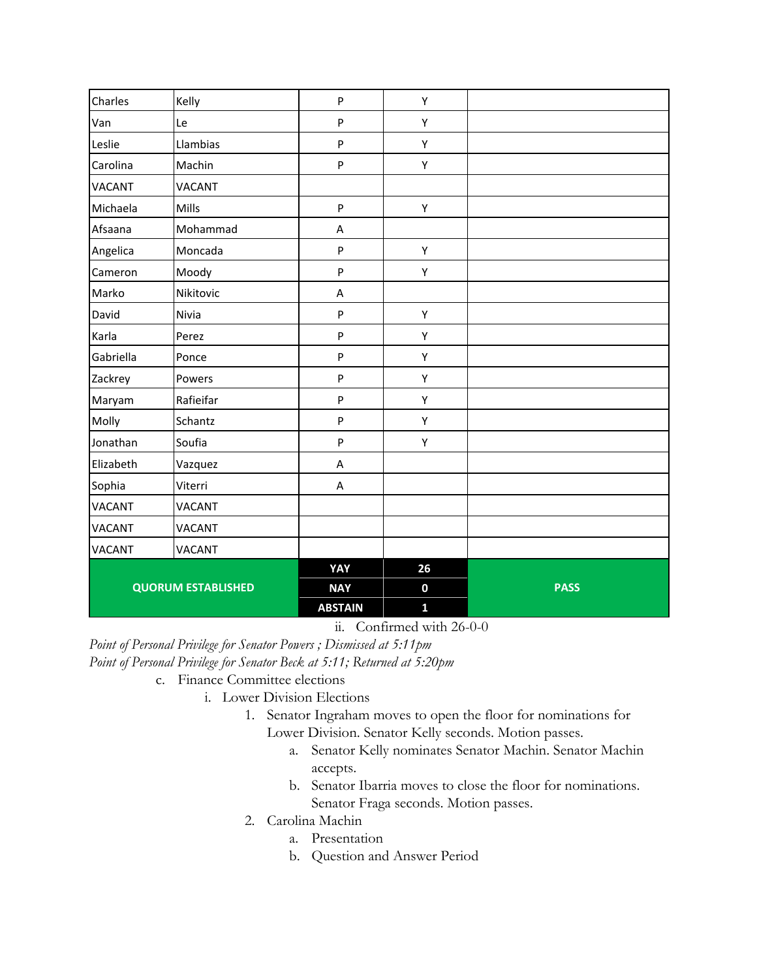| Charles       | Kelly                     | ${\sf P}$      | Υ                |             |
|---------------|---------------------------|----------------|------------------|-------------|
| Van           | Le                        | P              | Υ                |             |
| Leslie        | Llambias                  | P              | Υ                |             |
| Carolina      | Machin                    | P              | Υ                |             |
| <b>VACANT</b> | <b>VACANT</b>             |                |                  |             |
| Michaela      | Mills                     | ${\sf P}$      | Υ                |             |
| Afsaana       | Mohammad                  | A              |                  |             |
| Angelica      | Moncada                   | ${\sf P}$      | Υ                |             |
| Cameron       | Moody                     | ${\sf P}$      | Υ                |             |
| Marko         | Nikitovic                 | A              |                  |             |
| David         | Nivia                     | ${\sf P}$      | Υ                |             |
| Karla         | Perez                     | ${\sf P}$      | Υ                |             |
| Gabriella     | Ponce                     | ${\sf P}$      | Υ                |             |
| Zackrey       | Powers                    | ${\sf P}$      | Υ                |             |
| Maryam        | Rafieifar                 | ${\sf P}$      | Υ                |             |
| Molly         | Schantz                   | P              | Υ                |             |
| Jonathan      | Soufia                    | P              | Υ                |             |
| Elizabeth     | Vazquez                   | A              |                  |             |
| Sophia        | Viterri                   | A              |                  |             |
| <b>VACANT</b> | VACANT                    |                |                  |             |
| <b>VACANT</b> | VACANT                    |                |                  |             |
| <b>VACANT</b> | VACANT                    |                |                  |             |
|               |                           | YAY            | 26               |             |
|               | <b>QUORUM ESTABLISHED</b> | <b>NAY</b>     | $\boldsymbol{0}$ | <b>PASS</b> |
|               |                           | <b>ABSTAIN</b> | $\mathbf{1}$     |             |

ii. Confirmed with 26-0-0

*Point of Personal Privilege for Senator Powers ; Dismissed at 5:11pm Point of Personal Privilege for Senator Beck at 5:11; Returned at 5:20pm*

- c. Finance Committee elections
	- i. Lower Division Elections
		- 1. Senator Ingraham moves to open the floor for nominations for Lower Division. Senator Kelly seconds. Motion passes.
			- a. Senator Kelly nominates Senator Machin. Senator Machin accepts.
			- b. Senator Ibarria moves to close the floor for nominations. Senator Fraga seconds. Motion passes.
		- 2. Carolina Machin
			- a. Presentation
			- b. Question and Answer Period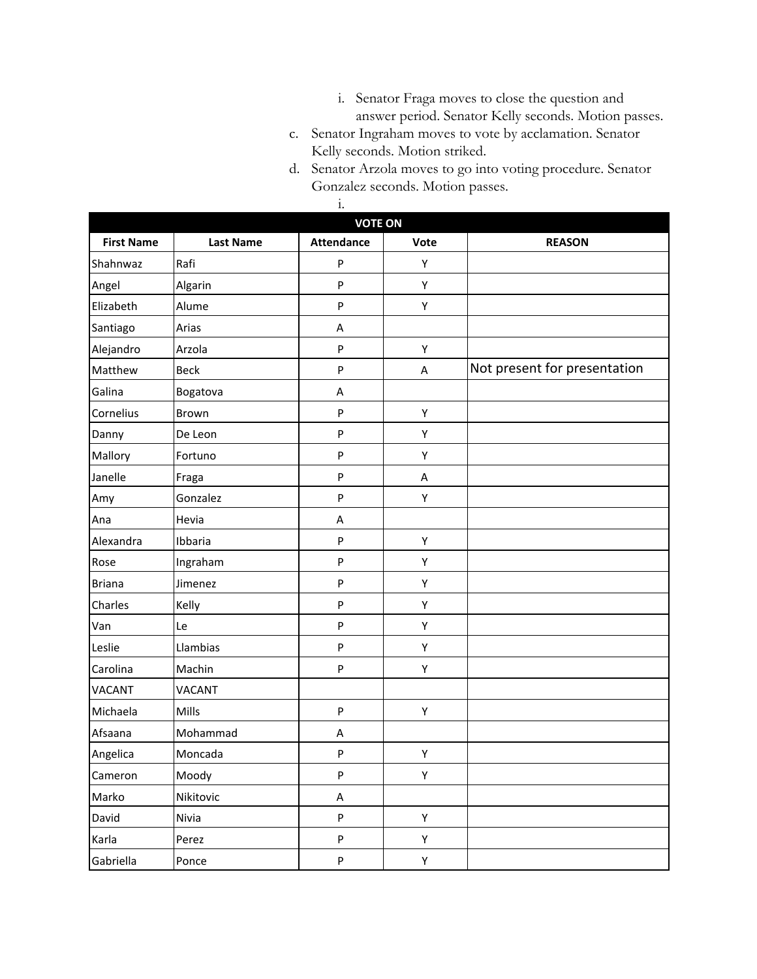- i. Senator Fraga moves to close the question and answer period. Senator Kelly seconds. Motion passes.
- c. Senator Ingraham moves to vote by acclamation. Senator Kelly seconds. Motion striked.
- d. Senator Arzola moves to go into voting procedure. Senator Gonzalez seconds. Motion passes.

|                   |                  | $\dot{1}$         |      |                              |  |
|-------------------|------------------|-------------------|------|------------------------------|--|
|                   | <b>VOTE ON</b>   |                   |      |                              |  |
| <b>First Name</b> | <b>Last Name</b> | <b>Attendance</b> | Vote | <b>REASON</b>                |  |
| Shahnwaz          | Rafi             | P                 | Υ    |                              |  |
| Angel             | Algarin          | P                 | Υ    |                              |  |
| Elizabeth         | Alume            | P                 | Υ    |                              |  |
| Santiago          | Arias            | Α                 |      |                              |  |
| Alejandro         | Arzola           | ${\sf P}$         | Υ    |                              |  |
| Matthew           | <b>Beck</b>      | ${\sf P}$         | A    | Not present for presentation |  |
| Galina            | Bogatova         | Α                 |      |                              |  |
| Cornelius         | Brown            | P                 | Υ    |                              |  |
| Danny             | De Leon          | P                 | Υ    |                              |  |
| Mallory           | Fortuno          | P                 | Υ    |                              |  |
| Janelle           | Fraga            | P                 | Α    |                              |  |
| Amy               | Gonzalez         | P                 | Υ    |                              |  |
| Ana               | Hevia            | A                 |      |                              |  |
| Alexandra         | Ibbaria          | ${\sf P}$         | Υ    |                              |  |
| Rose              | Ingraham         | P                 | Υ    |                              |  |
| <b>Briana</b>     | Jimenez          | P                 | Υ    |                              |  |
| Charles           | Kelly            | P                 | Υ    |                              |  |
| Van               | Le               | P                 | Υ    |                              |  |
| Leslie            | Llambias         | P                 | Υ    |                              |  |
| Carolina          | Machin           | P                 | Υ    |                              |  |
| VACANT            | <b>VACANT</b>    |                   |      |                              |  |
| Michaela          | Mills            | P                 | Υ    |                              |  |
| Afsaana           | Mohammad         | А                 |      |                              |  |
| Angelica          | Moncada          | P.                | Y    |                              |  |
| Cameron           | Moody            | ${\sf P}$         | Υ    |                              |  |
| Marko             | Nikitovic        | $\sf A$           |      |                              |  |
| David             | Nivia            | P                 | Υ    |                              |  |
| Karla             | Perez            | P                 | Υ    |                              |  |
| Gabriella         | Ponce            | $\sf P$           | Υ    |                              |  |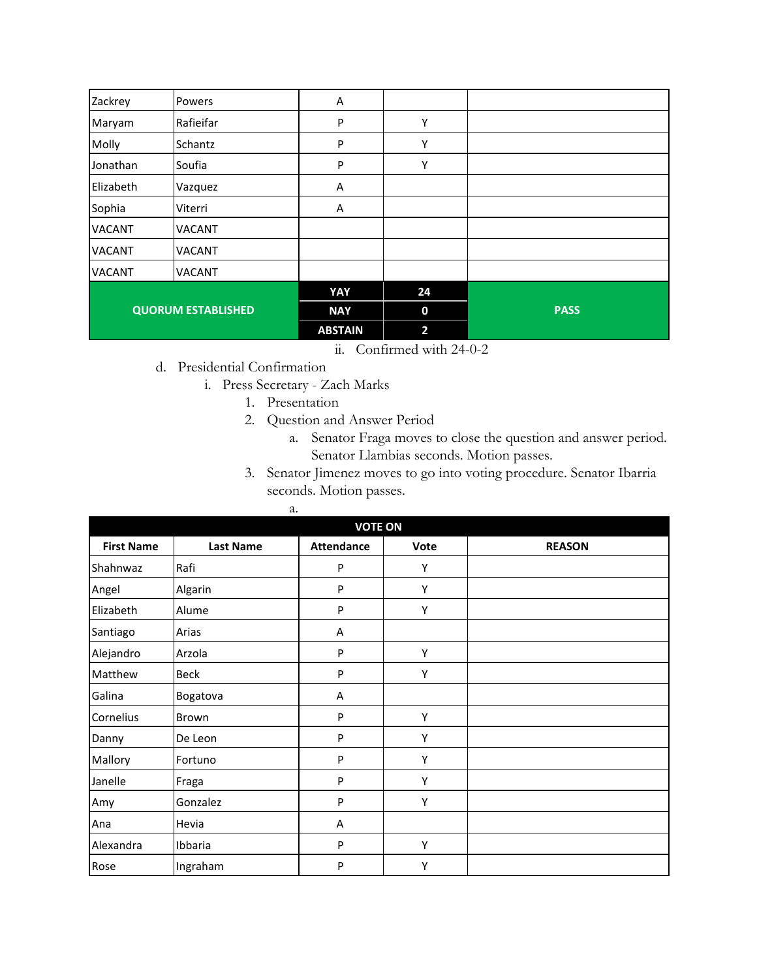| Zackrey       | Powers                    | Α              |                |             |
|---------------|---------------------------|----------------|----------------|-------------|
| Maryam        | Rafieifar                 | P              | Υ              |             |
| Molly         | Schantz                   | ${\sf P}$      | Υ              |             |
| Jonathan      | Soufia                    | P              | Υ              |             |
| Elizabeth     | Vazquez                   | Α              |                |             |
| Sophia        | Viterri                   | A              |                |             |
| <b>VACANT</b> | <b>VACANT</b>             |                |                |             |
| <b>VACANT</b> | <b>VACANT</b>             |                |                |             |
| <b>VACANT</b> | <b>VACANT</b>             |                |                |             |
|               |                           | YAY            | 24             |             |
|               | <b>QUORUM ESTABLISHED</b> | <b>NAY</b>     | $\bf{0}$       | <b>PASS</b> |
|               |                           | <b>ABSTAIN</b> | $\overline{2}$ |             |

- ii. Confirmed with 24-0-2
- d. Presidential Confirmation
	- i. Press Secretary Zach Marks
		- 1. Presentation
		- 2. Question and Answer Period
			- a. Senator Fraga moves to close the question and answer period. Senator Llambias seconds. Motion passes.
		- 3. Senator Jimenez moves to go into voting procedure. Senator Ibarria seconds. Motion passes.

| a.                |                  |                   |      |               |  |  |
|-------------------|------------------|-------------------|------|---------------|--|--|
|                   | <b>VOTE ON</b>   |                   |      |               |  |  |
| <b>First Name</b> | <b>Last Name</b> | <b>Attendance</b> | Vote | <b>REASON</b> |  |  |
| Shahnwaz          | Rafi             | P                 | Υ    |               |  |  |
| Angel             | Algarin          | P                 | Y    |               |  |  |
| Elizabeth         | Alume            | P                 | Υ    |               |  |  |
| Santiago          | Arias            | A                 |      |               |  |  |
| Alejandro         | Arzola           | P                 | Υ    |               |  |  |
| Matthew           | <b>Beck</b>      | P                 | Υ    |               |  |  |
| Galina            | Bogatova         | Α                 |      |               |  |  |
| Cornelius         | Brown            | P                 | Υ    |               |  |  |
| Danny             | De Leon          | P                 | Υ    |               |  |  |
| Mallory           | Fortuno          | P                 | Υ    |               |  |  |
| Janelle           | Fraga            | P                 | Υ    |               |  |  |
| Amy               | Gonzalez         | P                 | Υ    |               |  |  |
| Ana               | Hevia            | Α                 |      |               |  |  |
| Alexandra         | Ibbaria          | P                 | Υ    |               |  |  |
| Rose              | Ingraham         | P                 | Υ    |               |  |  |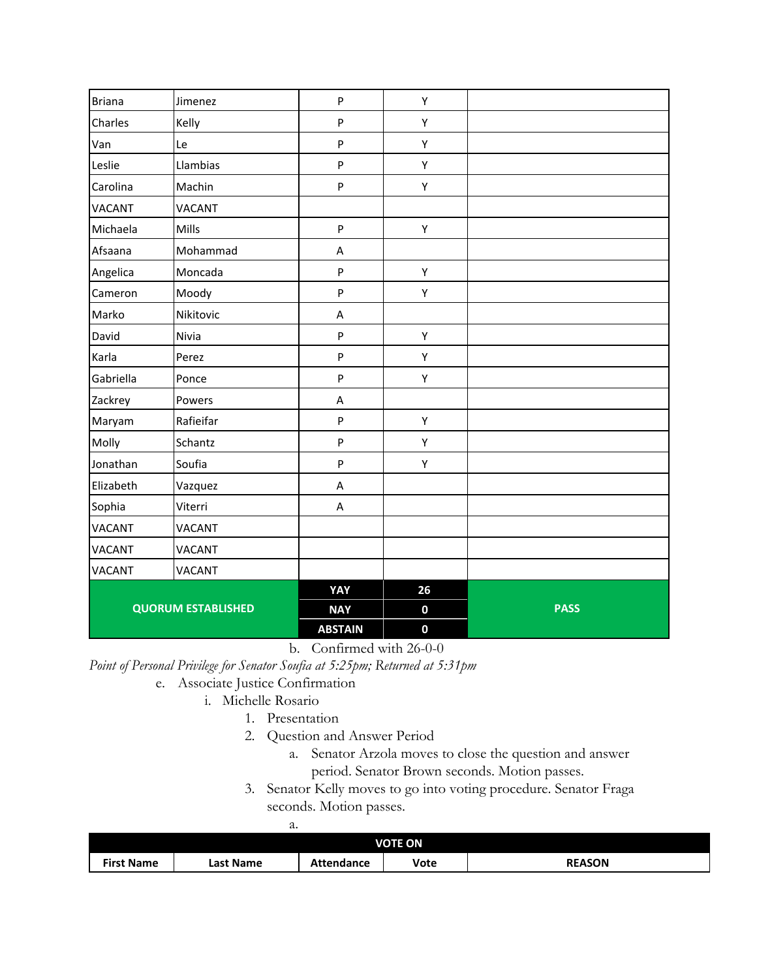| <b>Briana</b> | Jimenez                   | $\sf P$                   | Υ           |             |
|---------------|---------------------------|---------------------------|-------------|-------------|
| Charles       | Kelly                     | P                         | Υ           |             |
| Van           | Le                        | $\mathsf{P}$              | Υ           |             |
| Leslie        | Llambias                  | $\boldsymbol{\mathsf{P}}$ | Υ           |             |
| Carolina      | Machin                    | $\sf P$                   | Υ           |             |
| <b>VACANT</b> | <b>VACANT</b>             |                           |             |             |
| Michaela      | Mills                     | ${\sf P}$                 | Υ           |             |
| Afsaana       | Mohammad                  | A                         |             |             |
| Angelica      | Moncada                   | ${\sf P}$                 | Υ           |             |
| Cameron       | Moody                     | P                         | Υ           |             |
| Marko         | Nikitovic                 | A                         |             |             |
| David         | Nivia                     | P                         | Υ           |             |
| Karla         | Perez                     | $\sf P$                   | Υ           |             |
| Gabriella     | Ponce                     | P                         | Υ           |             |
| Zackrey       | Powers                    | $\boldsymbol{\mathsf{A}}$ |             |             |
| Maryam        | Rafieifar                 | $\sf P$                   | Υ           |             |
| Molly         | Schantz                   | ${\sf P}$                 | Υ           |             |
| Jonathan      | Soufia                    | $\sf P$                   | Υ           |             |
| Elizabeth     | Vazquez                   | $\boldsymbol{\mathsf{A}}$ |             |             |
| Sophia        | Viterri                   | A                         |             |             |
| <b>VACANT</b> | <b>VACANT</b>             |                           |             |             |
| <b>VACANT</b> | <b>VACANT</b>             |                           |             |             |
| VACANT        | <b>VACANT</b>             |                           |             |             |
|               |                           | YAY                       | 26          |             |
|               | <b>QUORUM ESTABLISHED</b> | <b>NAY</b>                | $\mathbf 0$ | <b>PASS</b> |
|               |                           | <b>ABSTAIN</b>            | $\mathbf 0$ |             |

b. Confirmed with 26-0-0

*Point of Personal Privilege for Senator Soufia at 5:25pm; Returned at 5:31pm*

- e. Associate Justice Confirmation
	- i. Michelle Rosario
		- 1. Presentation
		- 2. Question and Answer Period
			- a. Senator Arzola moves to close the question and answer period. Senator Brown seconds. Motion passes.
		- 3. Senator Kelly moves to go into voting procedure. Senator Fraga seconds. Motion passes.

| . .<br>×<br>۰. |  |
|----------------|--|

| <b>VOTE ON</b>    |           |                   |      |               |  |  |
|-------------------|-----------|-------------------|------|---------------|--|--|
| <b>First Name</b> | Last Name | <b>Attendance</b> | Vote | <b>REASON</b> |  |  |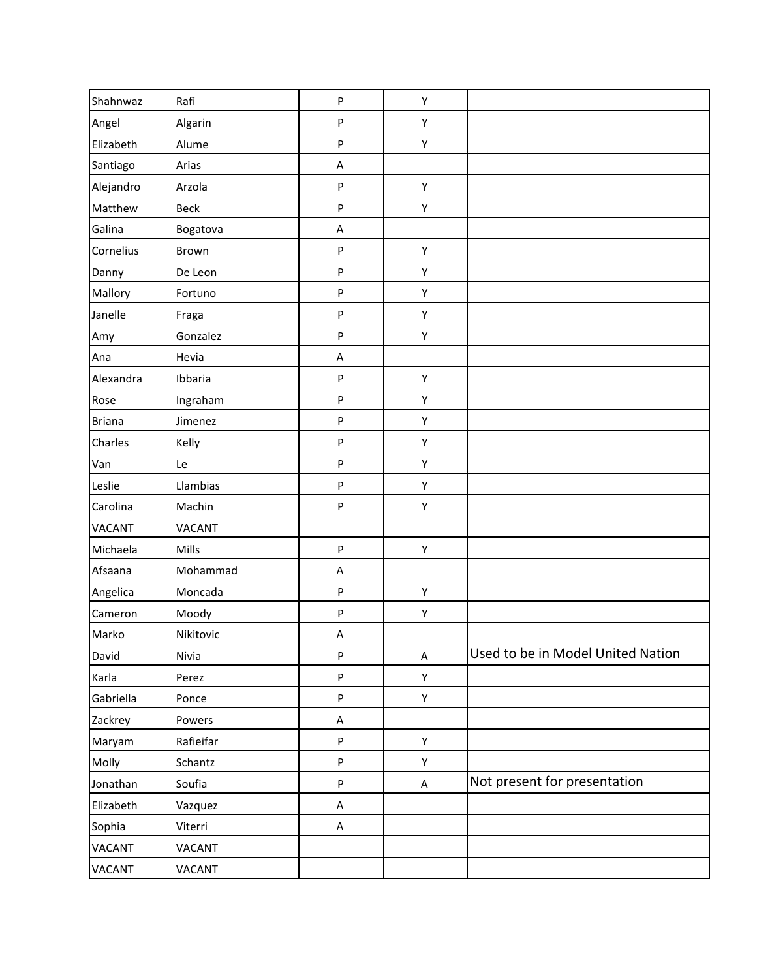| Shahnwaz      | Rafi          | ${\sf P}$ | Υ           |                                   |
|---------------|---------------|-----------|-------------|-----------------------------------|
| Angel         | Algarin       | ${\sf P}$ | Υ           |                                   |
| Elizabeth     | Alume         | $\sf P$   | Υ           |                                   |
| Santiago      | Arias         | A         |             |                                   |
| Alejandro     | Arzola        | $\sf P$   | Υ           |                                   |
| Matthew       | Beck          | ${\sf P}$ | Υ           |                                   |
| Galina        | Bogatova      | A         |             |                                   |
| Cornelius     | Brown         | ${\sf P}$ | Y           |                                   |
| Danny         | De Leon       | $\sf P$   | Υ           |                                   |
| Mallory       | Fortuno       | ${\sf P}$ | Υ           |                                   |
| Janelle       | Fraga         | ${\sf P}$ | Υ           |                                   |
| Amy           | Gonzalez      | ${\sf P}$ | Υ           |                                   |
| Ana           | Hevia         | A         |             |                                   |
| Alexandra     | Ibbaria       | ${\sf P}$ | Υ           |                                   |
| Rose          | Ingraham      | ${\sf P}$ | Υ           |                                   |
| <b>Briana</b> | Jimenez       | ${\sf P}$ | Υ           |                                   |
| Charles       | Kelly         | $\sf P$   | Υ           |                                   |
| Van           | Le            | $\sf P$   | Υ           |                                   |
| Leslie        | Llambias      | ${\sf P}$ | Υ           |                                   |
| Carolina      | Machin        | ${\sf P}$ | Υ           |                                   |
| <b>VACANT</b> | <b>VACANT</b> |           |             |                                   |
| Michaela      | Mills         | ${\sf P}$ | Υ           |                                   |
| Afsaana       | Mohammad      | A         |             |                                   |
| Angelica      | Moncada       | ${\sf P}$ | Υ           |                                   |
| Cameron       | Moody         | ${\sf P}$ | Υ           |                                   |
| Marko         | Nikitovic     | A         |             |                                   |
| David         | Nivia         | ${\sf P}$ | $\sf A$     | Used to be in Model United Nation |
| Karla         | Perez         | ${\sf P}$ | Y           |                                   |
| Gabriella     | Ponce         | ${\sf P}$ | Υ           |                                   |
| Zackrey       | Powers        | A         |             |                                   |
| Maryam        | Rafieifar     | ${\sf P}$ | Υ           |                                   |
| Molly         | Schantz       | ${\sf P}$ | Υ           |                                   |
| Jonathan      | Soufia        | $\sf P$   | $\mathsf A$ | Not present for presentation      |
| Elizabeth     | Vazquez       | $\sf A$   |             |                                   |
| Sophia        | Viterri       | A         |             |                                   |
| <b>VACANT</b> | VACANT        |           |             |                                   |
| <b>VACANT</b> | <b>VACANT</b> |           |             |                                   |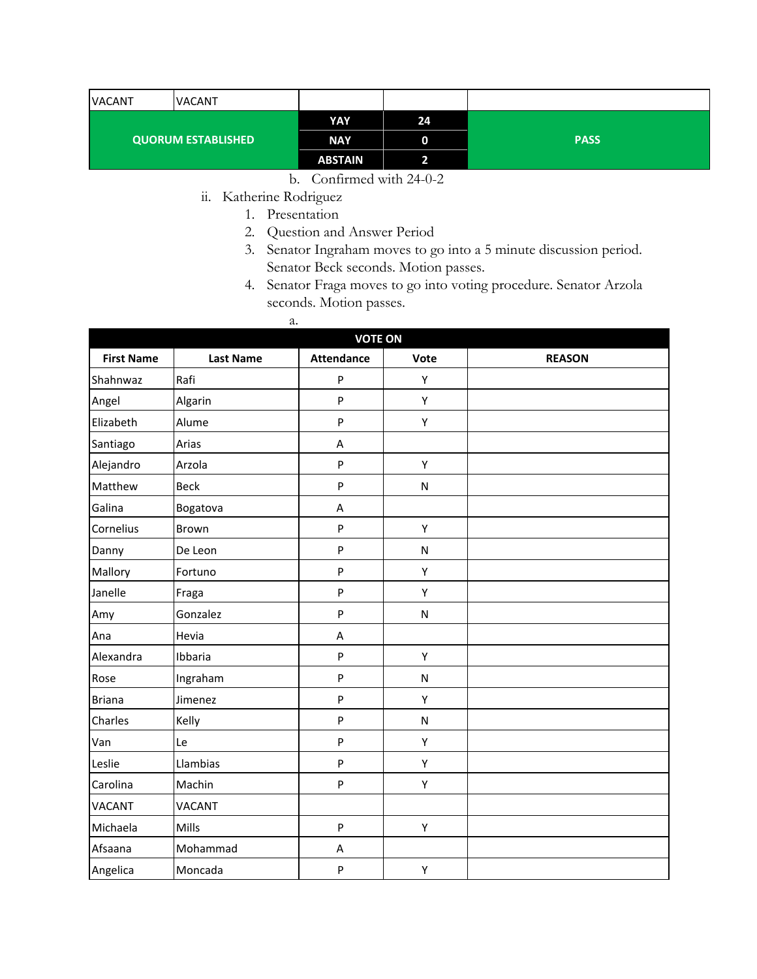| <b>VACANT</b>             | <b>VACANT</b> |                |    |             |
|---------------------------|---------------|----------------|----|-------------|
| <b>QUORUM ESTABLISHED</b> |               | <b>YAY</b>     | 24 |             |
|                           |               | <b>NAY</b>     | 0  | <b>PASS</b> |
|                           |               | <b>ABSTAIN</b> |    |             |

- b. Confirmed with 24-0-2
- ii. Katherine Rodriguez
	- 1. Presentation

a.

- 2. Question and Answer Period
- 3. Senator Ingraham moves to go into a 5 minute discussion period. Senator Beck seconds. Motion passes.
- 4. Senator Fraga moves to go into voting procedure. Senator Arzola seconds. Motion passes.
- **VOTE ON First Name Last Name Attendance Vote REASON** Shahnwaz | Rafi | P | Y Angel Algarin | P | Y Elizabeth Alume P Y Santiago Arias A Alejandro Arzola **P** Y Matthew Beck P N Galina Bogatova A Cornelius Brown P P Y Danny De Leon | P | N Mallory Fortuno | P | Y Janelle |Fraga | P | Y Amy Gonzalez P N Ana Hevia A Alexandra | Ibbaria | P | Y Rose | Ingraham | P | N Briana Jimenez P Y Charles | Kelly North Register P North North Register North North Register North North North North North North N Van |Le | P | Y Leslie Llambias I P Y Carolina Machin | P | Y VACANT VACANT Michaela | Mills | P | Y Afsaana | Mohammad | A Angelica | Moncada | P | Y